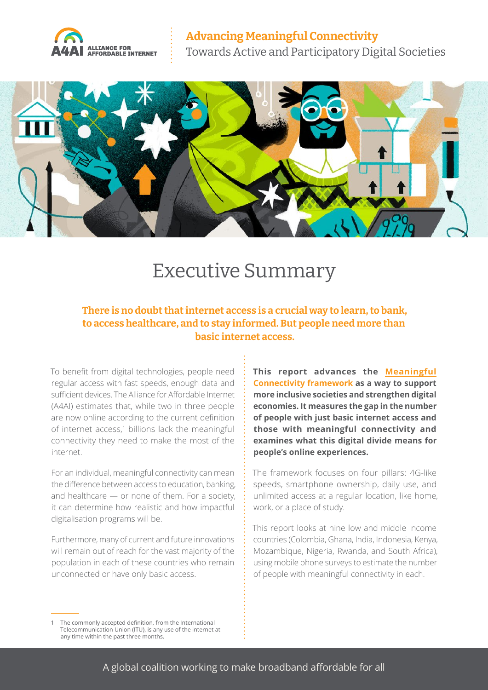



## Executive Summary

**There is no doubt that internet access is a crucial way to learn, to bank, to access healthcare, and to stay informed. But people need more than basic internet access.** 

To benefit from digital technologies, people need regular access with fast speeds, enough data and sufficient devices. The Alliance for Affordable Internet (A4AI) estimates that, while two in three people are now online according to the current definition of internet access,<sup>1</sup> billions lack the meaningful connectivity they need to make the most of the internet.

For an individual, meaningful connectivity can mean the difference between access to education, banking, and healthcare — or none of them. For a society, it can determine how realistic and how impactful digitalisation programs will be.

Furthermore, many of current and future innovations will remain out of reach for the vast majority of the population in each of these countries who remain unconnected or have only basic access.

**This report advances the [Meaningful](https://a4ai.org/meaningful-connectivity/)  [Connectivity framework](https://a4ai.org/meaningful-connectivity/) as a way to support more inclusive societies and strengthen digital economies. It measures the gap in the number of people with just basic internet access and those with meaningful connectivity and examines what this digital divide means for people's online experiences.** 

The framework focuses on four pillars: 4G-like speeds, smartphone ownership, daily use, and unlimited access at a regular location, like home, work, or a place of study.

This report looks at nine low and middle income countries (Colombia, Ghana, India, Indonesia, Kenya, Mozambique, Nigeria, Rwanda, and South Africa), using mobile phone surveys to estimate the number of people with meaningful connectivity in each.

The commonly accepted definition, from the International Telecommunication Union (ITU), is any use of the internet at any time within the past three months.